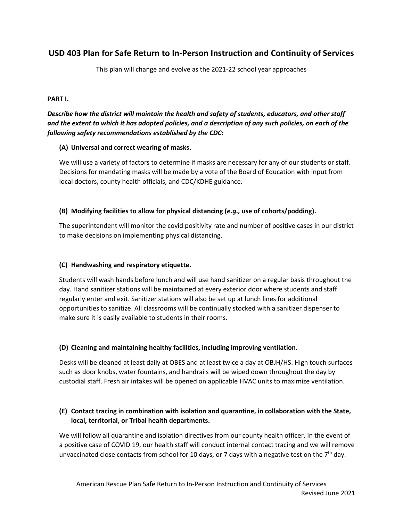# **USD 403 Plan for Safe Return to In-Person Instruction and Continuity of Services**

This plan will change and evolve as the 2021-22 school year approaches

#### **PART I.**

# *Describe how the district will maintain the health and safety of students, educators, and other staff and the extent to which it has adopted policies, and a description of any such policies, on each of the following safety recommendations established by the CDC:*

#### **(A) Universal and correct wearing of masks.**

We will use a variety of factors to determine if masks are necessary for any of our students or staff. Decisions for mandating masks will be made by a vote of the Board of Education with input from local doctors, county health officials, and CDC/KDHE guidance.

#### **(B) Modifying facilities to allow for physical distancing (***e.g.,* **use of cohorts/podding).**

The superintendent will monitor the covid positivity rate and number of positive cases in our district to make decisions on implementing physical distancing.

## **(C) Handwashing and respiratory etiquette.**

Students will wash hands before lunch and will use hand sanitizer on a regular basis throughout the day. Hand sanitizer stations will be maintained at every exterior door where students and staff regularly enter and exit. Sanitizer stations will also be set up at lunch lines for additional opportunities to sanitize. All classrooms will be continually stocked with a sanitizer dispenser to make sure it is easily available to students in their rooms.

## **(D) Cleaning and maintaining healthy facilities, including improving ventilation.**

Desks will be cleaned at least daily at OBES and at least twice a day at OBJH/HS. High touch surfaces such as door knobs, water fountains, and handrails will be wiped down throughout the day by custodial staff. Fresh air intakes will be opened on applicable HVAC units to maximize ventilation.

## **(E) Contact tracing in combination with isolation and quarantine, in collaboration with the State, local, territorial, or Tribal health departments.**

We will follow all quarantine and isolation directives from our county health officer. In the event of a positive case of COVID 19, our health staff will conduct internal contact tracing and we will remove unvaccinated close contacts from school for 10 days, or 7 days with a negative test on the  $7<sup>th</sup>$  day.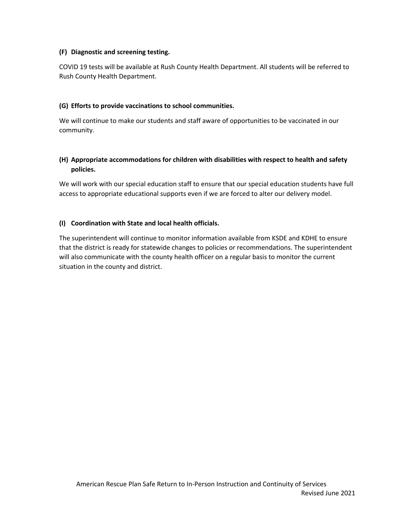#### **(F) Diagnostic and screening testing.**

COVID 19 tests will be available at Rush County Health Department. All students will be referred to Rush County Health Department.

### **(G) Efforts to provide vaccinations to school communities.**

We will continue to make our students and staff aware of opportunities to be vaccinated in our community.

## **(H) Appropriate accommodations for children with disabilities with respect to health and safety policies.**

We will work with our special education staff to ensure that our special education students have full access to appropriate educational supports even if we are forced to alter our delivery model.

## **(I) Coordination with State and local health officials.**

The superintendent will continue to monitor information available from KSDE and KDHE to ensure that the district is ready for statewide changes to policies or recommendations. The superintendent will also communicate with the county health officer on a regular basis to monitor the current situation in the county and district.